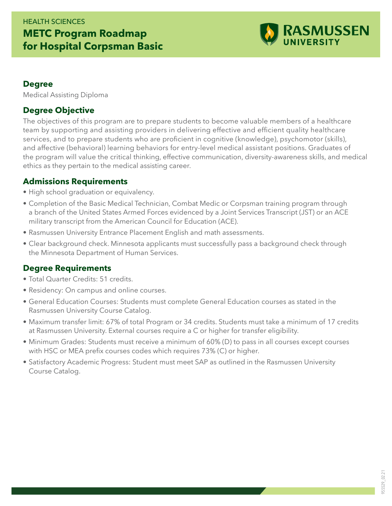## HEALTH SCIENCES **METC Program Roadmap for Hospital Corpsman Basic**



#### **Degree**

Medical Assisting Diploma

#### **Degree Objective**

The objectives of this program are to prepare students to become valuable members of a healthcare team by supporting and assisting providers in delivering effective and efficient quality healthcare services, and to prepare students who are proficient in cognitive (knowledge), psychomotor (skills), and affective (behavioral) learning behaviors for entry-level medical assistant positions. Graduates of the program will value the critical thinking, effective communication, diversity-awareness skills, and medical ethics as they pertain to the medical assisting career.

#### **Admissions Requirements**

- High school graduation or equivalency.
- Completion of the Basic Medical Technician, Combat Medic or Corpsman training program through a branch of the United States Armed Forces evidenced by a Joint Services Transcript (JST) or an ACE military transcript from the American Council for Education (ACE).
- Rasmussen University Entrance Placement English and math assessments.
- Clear background check. Minnesota applicants must successfully pass a background check through the Minnesota Department of Human Services.

### **Degree Requirements**

- Total Quarter Credits: 51 credits.
- Residency: On campus and online courses.
- General Education Courses: Students must complete General Education courses as stated in the Rasmussen University Course Catalog.
- Maximum transfer limit: 67% of total Program or 34 credits. Students must take a minimum of 17 credits at Rasmussen University. External courses require a C or higher for transfer eligibility.
- Minimum Grades: Students must receive a minimum of 60% (D) to pass in all courses except courses with HSC or MEA prefix courses codes which requires 73% (C) or higher.
- Satisfactory Academic Progress: Student must meet SAP as outlined in the Rasmussen University Course Catalog.